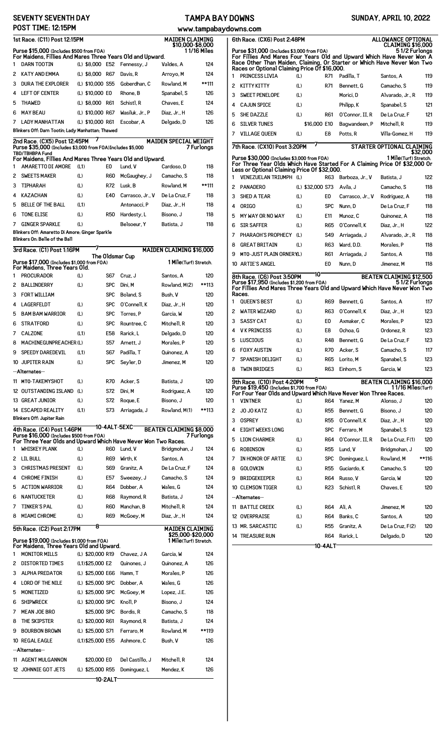## **SEVENTY SEVENTH DAY POST TIME: 12:15PM**

## **TAMPA BAY DOWNS www.tampabaydowns.com**

|  |  | www.tampabaydow |  |  |  |  |  |  |  |  |
|--|--|-----------------|--|--|--|--|--|--|--|--|
|  |  |                 |  |  |  |  |  |  |  |  |

| 1st Race. (C11) Post 12:15PM<br><b>MAIDEN CLAIMING</b><br>\$10.000-\$8.000 |                                                                                        |                                       |                   |                         |                                 |              |  |  |
|----------------------------------------------------------------------------|----------------------------------------------------------------------------------------|---------------------------------------|-------------------|-------------------------|---------------------------------|--------------|--|--|
|                                                                            | Purse \$15,000 (Includes \$500 from FOA)                                               |                                       |                   |                         |                                 | 11/16 Miles  |  |  |
| 1                                                                          | For Maidens, Fillies And Mares Three Years Old and Upward.<br><b>DARN TOOTIN</b>       | (L) \$8,000 E52                       |                   | Fennessy, J             | Valdes. A                       | 124          |  |  |
| 2                                                                          | <b>KATY AND EMMA</b>                                                                   | (L) \$8,000                           | R67               | Davis, R                | Arroyo, M                       | 124          |  |  |
| 3                                                                          | <b>DURA THE EXPLORER</b>                                                               | (L) \$10,000 S55                      |                   | Goberdhan, C            | Rowland, M                      | **111        |  |  |
| 4                                                                          | <b>LEFT OF CENTER</b>                                                                  | (L) \$10,000 E0                       |                   | Rhone, B                | Spanabel, S                     | 126          |  |  |
| 5                                                                          | <b>THAWED</b>                                                                          | (L) \$8,000                           | R61               | Schist1, R              | Chaves, E                       | 124          |  |  |
| 6                                                                          | <b>MAY BEAU</b>                                                                        | (L) \$10,000 R67                      |                   | Wasiluk. Jr P           | Diaz, Jr., H                    | 126          |  |  |
| 7                                                                          | <b>LADY MANHATTAN</b><br>Blinkers Off: Darn Tootin; Lady Manhattan; Thawed             | (L) \$10,000 R61                      |                   | Escobar, A              | Delgado, D                      | 126          |  |  |
|                                                                            | 2nd Race. (CX5) Post 12:45PM                                                           |                                       |                   |                         | MAIDEN SPECIAL WEIGHT           |              |  |  |
|                                                                            | Purse \$35,000 (Includes \$3,000 from F0A)Includes \$5,000<br><b>TBD/TBHBPA Fund</b>   |                                       |                   |                         |                                 | 7 Furlongs   |  |  |
|                                                                            | For Maidens, Fillies And Mares Three Years Old and Upward.                             |                                       |                   |                         |                                 |              |  |  |
| 1                                                                          | AMARETTO DI AMORE                                                                      | (L1)                                  | E0                | Lund, V                 | Cardoso, D                      | 118          |  |  |
| 2<br>3                                                                     | <b>SWEETS MAKER</b><br><b>TIPHARAH</b>                                                 | (L)<br>(L)                            | <b>R60</b><br>R72 | McGaughey, J<br>Lusk, B | Camacho, S<br>Rowland, M        | 118<br>**111 |  |  |
| 4                                                                          | <b>KAZACHAN</b>                                                                        | (L)                                   | E40               | Carrasco, Jr., V        | De La Cruz, F                   | 118          |  |  |
| 5                                                                          | <b>BELLE OF THE BALL</b>                                                               | (L1)                                  |                   | Antonacci, P            | Diaz. Jr., H                    | 118          |  |  |
| 6                                                                          | <b>TONE ELISE</b>                                                                      | (L)                                   | R50               | Hardesty, L             | Bisono, J                       | 118          |  |  |
| 7                                                                          | <b>GINGER SPARKLE</b>                                                                  | (L)                                   |                   | Belsoeur. Y             | Batista. J                      | 118          |  |  |
|                                                                            | Blinkers Off: Amaretto Di Amore; Ginger Sparkle                                        |                                       |                   |                         |                                 |              |  |  |
|                                                                            | Blinkers On: Belle of the Ball                                                         |                                       |                   |                         |                                 |              |  |  |
|                                                                            | 3rd Race. (C1) Post 1:16PM                                                             |                                       |                   | The Oldsmar Cup         | <b>MAIDEN CLAIMING \$16,000</b> |              |  |  |
|                                                                            | Purse \$17,000 (Includes \$1,000 from FOA)<br>For Maidens, Three Years Old.            |                                       |                   |                         | <b>1 Mile</b> (Turf) Stretch.   |              |  |  |
| 1                                                                          | <b>PROCURADOR</b>                                                                      | (L)                                   | S67               | Cruz, J                 | Santos, A                       | 120          |  |  |
| 2                                                                          | <b>BALLINDERRY</b>                                                                     | (L)                                   | <b>SPC</b>        | Dini, M                 | Rowland, M(2)                   | **113        |  |  |
| 3                                                                          | <b>FORT WILLIAM</b>                                                                    |                                       | <b>SPC</b>        | Boland, S               | Bush, V                         | 120          |  |  |
| 4                                                                          | <b>LAGERFELDT</b>                                                                      | (L)                                   | <b>SPC</b>        | 0'Connell, K            | Diaz, Jr., H                    | 120          |  |  |
| 5                                                                          | <b>BAM BAM WARRIOR</b>                                                                 | (L)                                   | <b>SPC</b>        | Torres. P               | Garcia, W                       | 120          |  |  |
| 6                                                                          | <b>STRATFORD</b>                                                                       | (L)                                   | <b>SPC</b>        | Rountree, C             | Mitchell, R                     | 120          |  |  |
| 7                                                                          | <b>CALZONE</b>                                                                         | (L1)                                  | E58               | Rarick, L               | Delgado, D                      | 120          |  |  |
| 8                                                                          | <b>MACHINEGUNPREACHER(L)</b>                                                           |                                       | S57               | Arnett. J               | Morales, P                      | 120          |  |  |
| 9                                                                          | <b>SPEEDY DAREDEVIL</b>                                                                | (L1)                                  | S67               | Padilla, T              | Quinonez, A                     | 120          |  |  |
|                                                                            | 10 JUPITER RAIN                                                                        | (L)                                   | SPC               | Seyler, D               | Jimenez, M                      | 120          |  |  |
|                                                                            | --Alternates--                                                                         |                                       |                   |                         |                                 |              |  |  |
| 11                                                                         | MTO-TAKEMYSHOT                                                                         | (L)                                   | R70               | Acker, S                | Batista, J                      | 120          |  |  |
|                                                                            | 12 OUTSTANDING ISLAND                                                                  | (L)                                   | S72               | Dini. M                 | Rodriguez, A                    | 120          |  |  |
|                                                                            | <b>13 GREAT JUNIOR</b>                                                                 | (L)                                   | S72               | Roque, E                | Bisono, J                       | 120          |  |  |
|                                                                            | 14 ESCAPED REALITY<br>Blinkers Off: Jupiter Rain                                       | (L1)                                  | S73               | Arriagada, J            | Rowland, M(1)                   | **113        |  |  |
|                                                                            |                                                                                        |                                       |                   | 10-4ALT-5EXC            | <b>BEATEN CLAIMING \$8,000</b>  |              |  |  |
|                                                                            | 4th Race. (C4) Post 1:46PM<br>Purse \$16,000 (Includes \$500 from FOA)                 |                                       |                   |                         |                                 | 7 Furlongs   |  |  |
| 1                                                                          | For Three Year Olds and Upward Which Have Never Won Two Races.<br><b>WHISKEY PLANK</b> | (L)                                   | <b>R60</b>        | Lund, V                 | Bridgmohan, J                   | 124          |  |  |
| 2                                                                          | <b>LIL BULL</b>                                                                        | (L)                                   | <b>R69</b>        | Wirth, K                | Santos. A                       | 124          |  |  |
| 3                                                                          | <b>CHRISTMAS PRESENT</b>                                                               | (L)                                   | S69               | Granitz, A              | De La Cruz, F                   | 124          |  |  |
| 4                                                                          | <b>CHROME FINISH</b>                                                                   | (L)                                   | E57               | Sweezey, J              | Camacho, S                      | 124          |  |  |
| 5                                                                          | <b>ACTION WARRIOR</b>                                                                  | (L)                                   | <b>R64</b>        | Dobber, A               | Wales, G                        | 124          |  |  |
| 6                                                                          | <b>NANTUCKETER</b>                                                                     | (L)                                   | <b>R68</b>        | Raymond, R              | Batista, J                      | 124          |  |  |
| 7                                                                          | <b>TINKER'S PAL</b>                                                                    | (L)                                   | <b>R60</b>        | Manchan, B              | Mitchell, R                     | 124          |  |  |
| 8                                                                          | <b>MIAMI CHROME</b>                                                                    | (L)                                   | R69               | McGoey, M               | Diaz, Jr., H                    | 124          |  |  |
|                                                                            | 5th Race. (C2) Post 2:17PM                                                             | 8                                     |                   |                         | <b>MAIDEN CLAIMING</b>          |              |  |  |
|                                                                            |                                                                                        |                                       |                   |                         | \$25,000-\$20,000               |              |  |  |
|                                                                            | Purse \$19,000 (Includes \$1,000 from FOA)<br>For Maidens, Three Years Old and Upward. |                                       |                   |                         | 1 Mile(Turf) Stretch.           |              |  |  |
| 1                                                                          | <b>MONITOR MILLS</b>                                                                   | (L) \$20,000 R19                      |                   | Chavez, J A             | Garcia, W                       | 124          |  |  |
| 2                                                                          | <b>DISTORTED TIMES</b>                                                                 | (L1) \$25,000 E2                      |                   | Quinones, J             | Quinonez, A                     | 126          |  |  |
| 3                                                                          | <b>ALPHA PREDATOR</b>                                                                  | (L) \$25,000 E66                      |                   | Hamm, T                 | Morales, P                      | 126          |  |  |
| 4                                                                          | <b>LORD OF THE NILE</b>                                                                | (L) \$25,000 SPC                      |                   | Dobber, A               | Wales, G                        | 126          |  |  |
| 5                                                                          | MONETIZED                                                                              | (L) \$25,000 SPC                      |                   | McGoey, M               | Lopez, J.E.                     | 126          |  |  |
| 6                                                                          | <b>SHIPWRECK</b>                                                                       | (L) \$20,000 SPC                      |                   | Knoll, P                | Bisono. J                       | 124          |  |  |
| 7                                                                          | <b>MEAN JOE BRO</b>                                                                    | \$25,000 SPC                          |                   | Bordis, R               | Camacho, S                      | 118          |  |  |
| 8                                                                          | THE SKIPSTER<br><b>BOURBON BROWN</b>                                                   | (L) \$20,000 R61                      |                   | Raymond, R              | Batista, J                      | 124          |  |  |
| 9                                                                          | 10 REGAL EAGLE                                                                         | (L) \$25,000 S71<br>(L1) \$25,000 E55 |                   | Ferraro.M<br>Ashmore, C | Rowland, M<br>Bush, V           | **119<br>126 |  |  |
|                                                                            | --Alternates--                                                                         |                                       |                   |                         |                                 |              |  |  |
| 11                                                                         | <b>AGENT MULGANNON</b>                                                                 | \$20,000 EO                           |                   | Del Castillo, J         | Mitchell, R                     | 124          |  |  |
|                                                                            | 12 JOHNNIE GOT JETS                                                                    | (L) \$25,000 R55                      |                   | Dominguez, L            | Mendez, K                       | 126          |  |  |
|                                                                            |                                                                                        |                                       | 10-2ALT           |                         |                                 |              |  |  |

**SUNDAY, APRIL 10, 2022**

|                                                                                                                                                                                                                                         | ווט.טוויש<br>6th Race. (CX6) Post 2:48PM<br>ALLOWANCE OPTIONAL                                                                                                                                                             |                  |            |                  |                                 |       |  |  |  |  |
|-----------------------------------------------------------------------------------------------------------------------------------------------------------------------------------------------------------------------------------------|----------------------------------------------------------------------------------------------------------------------------------------------------------------------------------------------------------------------------|------------------|------------|------------------|---------------------------------|-------|--|--|--|--|
| CLAIMING \$16,000<br>Purse \$31,000 (Includes \$3,000 from FOA)<br>5 1/2 Furlongs<br>For Fillies And Mares Four Years Old and Upward Which Have Never Won A<br>Race Other Than Maiden, Claiming, Or Starter or Which Have Never Won Two |                                                                                                                                                                                                                            |                  |            |                  |                                 |       |  |  |  |  |
|                                                                                                                                                                                                                                         | Races or Optional Claiming Price Of \$16,000.                                                                                                                                                                              |                  |            |                  |                                 |       |  |  |  |  |
| 1                                                                                                                                                                                                                                       | PRINCESS LIVIA                                                                                                                                                                                                             | (L)              | R71        | Padilla, T       | Santos, A                       | 119   |  |  |  |  |
| 2                                                                                                                                                                                                                                       | <b>KITTY KITTY</b>                                                                                                                                                                                                         | (L)              | R71        | Bennett. G       | Camacho, S                      | 119   |  |  |  |  |
| 3                                                                                                                                                                                                                                       | <b>SWEET PENELOPE</b>                                                                                                                                                                                                      | (L)              |            | Morici, D        | Alvarado, Jr., R                | 119   |  |  |  |  |
| 4                                                                                                                                                                                                                                       | <b>CAJUN SPICE</b>                                                                                                                                                                                                         | (L)              |            | Philipp, K       | Spanabel, S                     | 121   |  |  |  |  |
| 5                                                                                                                                                                                                                                       | <b>SHE DAZZLE</b>                                                                                                                                                                                                          | (L)              | R61        | 0'Connor, II, R  | De La Cruz. F                   | 121   |  |  |  |  |
| 6                                                                                                                                                                                                                                       | <b>SILVER TUNES</b>                                                                                                                                                                                                        | \$16,000 E10     |            | Bagwandeen, P    | Mitchell, R                     | 119   |  |  |  |  |
| 7                                                                                                                                                                                                                                       | <b>VILLAGE OUEEN</b>                                                                                                                                                                                                       | (L)              | E8         | Potts, R         | Villa-Gomez. H                  | 119   |  |  |  |  |
|                                                                                                                                                                                                                                         | 7<br>7th Race. (CX10) Post 3:20PM<br><b>STARTER OPTIONAL CLAIMING</b>                                                                                                                                                      |                  |            |                  |                                 |       |  |  |  |  |
| \$32,000<br>1 Mile(Turf) Stretch.<br>Purse \$30,000 (Includes \$3,000 from FOA)<br>For Three Year Olds Which Have Started For A Claiming Price Of \$32,000 Or<br>Less or Optional Claiming Price Of \$32,000.                           |                                                                                                                                                                                                                            |                  |            |                  |                                 |       |  |  |  |  |
| 1                                                                                                                                                                                                                                       | VENEZUELAN TRIUMPH (L)                                                                                                                                                                                                     |                  | R63        | Barboza, Jr., V  | Batista. J                      | 122   |  |  |  |  |
| 2                                                                                                                                                                                                                                       | <b>PANADERO</b>                                                                                                                                                                                                            | (L) \$32,000 S73 |            | Avila. J         | Camacho, S                      | 118   |  |  |  |  |
| 3                                                                                                                                                                                                                                       | <b>SHED A TEAR</b>                                                                                                                                                                                                         | (L)              | E0         | Carrasco, Jr., V | Rodriguez, A                    | 118   |  |  |  |  |
| 4                                                                                                                                                                                                                                       | <b>ORIGO</b>                                                                                                                                                                                                               | (L)              | <b>SPC</b> | Nunn, D          | De La Cruz, F                   | 118   |  |  |  |  |
| 5                                                                                                                                                                                                                                       | MY WAY OR NO WAY                                                                                                                                                                                                           | (L)              | E11        | Munoz. C         | Quinonez, A                     | 118   |  |  |  |  |
| 6                                                                                                                                                                                                                                       | <b>SIR SAFFER</b>                                                                                                                                                                                                          | (L)              | <b>R65</b> | 0'Connell, K     | Diaz, Jr., H                    | 122   |  |  |  |  |
| 7                                                                                                                                                                                                                                       | PHARAOH'S PROPHECY                                                                                                                                                                                                         | (L)              | S49        | Arriagada, J     | Alvarado, Jr., R                | 118   |  |  |  |  |
| 8                                                                                                                                                                                                                                       | <b>GREAT BRITAIN</b>                                                                                                                                                                                                       | (L)              | <b>R63</b> | Ward, D.D.       | Morales, P                      | 118   |  |  |  |  |
| 9                                                                                                                                                                                                                                       | <b>MTO-JUST PLAIN ORNERYL)</b>                                                                                                                                                                                             |                  | R61        | Arriagada, J     | Santos, A                       | 118   |  |  |  |  |
|                                                                                                                                                                                                                                         | 10 ARTIE'S ANGEL                                                                                                                                                                                                           |                  | E0         | Nunn, D          | Jimenez, M                      | 118   |  |  |  |  |
|                                                                                                                                                                                                                                         | 10<br><b>BEATEN CLAIMING \$12,500</b><br>8th Race. (C6) Post 3:50PM<br>Purse \$17,950 (Includes \$1,200 from FOA)<br>5 1/2 Furlongs<br>For Fillies And Mares Three Years Old and Upward Which Have Never Won Two<br>Races. |                  |            |                  |                                 |       |  |  |  |  |
| 1                                                                                                                                                                                                                                       | <b>QUEEN'S BEST</b>                                                                                                                                                                                                        | (L)              | R69        | Bennett, G       | Santos. A                       | 117   |  |  |  |  |
| 2                                                                                                                                                                                                                                       | <b>WATER WIZARD</b>                                                                                                                                                                                                        | (L)              | <b>R63</b> | 0'Connell, K     | Diaz, Jr., H                    | 123   |  |  |  |  |
| 3                                                                                                                                                                                                                                       | <b>SASSY CAT</b>                                                                                                                                                                                                           | (L)              | E0         | Axmaker, C       | Morales, P                      | 123   |  |  |  |  |
| 4                                                                                                                                                                                                                                       | <b>VK PRINCESS</b>                                                                                                                                                                                                         | (L)              | E8         | Ochoa, G         | Ordonez, R                      | 123   |  |  |  |  |
| 5                                                                                                                                                                                                                                       | LUSCIOUS                                                                                                                                                                                                                   | (L)              | R48        | Bennett, G       | De La Cruz, F                   | 123   |  |  |  |  |
| 6                                                                                                                                                                                                                                       | <b>FOXY AUSTIN</b>                                                                                                                                                                                                         | (L)              | R70        | Acker, S         | Camacho, S                      | 117   |  |  |  |  |
| 7                                                                                                                                                                                                                                       | SPANISH DELIGHT                                                                                                                                                                                                            | (L)              | R65        | Lorito, M        | Spanabel, S                     | 123   |  |  |  |  |
| 8                                                                                                                                                                                                                                       | <b>TWIN BRIDGES</b>                                                                                                                                                                                                        | (L)              | R63        | Einhorn, S       | Garcia, W                       | 123   |  |  |  |  |
|                                                                                                                                                                                                                                         | 9th Race. (C10) Post 4:20PM                                                                                                                                                                                                | 8                |            |                  | <b>BEATEN CLAIMING \$16,000</b> |       |  |  |  |  |
|                                                                                                                                                                                                                                         | Purse \$19,450 (Includes \$1,700 from F0A)<br>For Four Year Olds and Upward Which Have Never Won Three Races.                                                                                                              |                  |            |                  | 11/16 Miles(Turf)               |       |  |  |  |  |
| 1                                                                                                                                                                                                                                       | <b>VINTNER</b>                                                                                                                                                                                                             | (L)              | <b>R64</b> | Yanez, M         | Alonso, J                       | 120   |  |  |  |  |
| 2                                                                                                                                                                                                                                       | <b>JO JO KATZ</b>                                                                                                                                                                                                          | (L)              | <b>R55</b> | Bennett, G       | Bisono. J                       | 120   |  |  |  |  |
| 3                                                                                                                                                                                                                                       | <b>OSPREY</b>                                                                                                                                                                                                              | (L)              | <b>R55</b> | 0'Connell, K     | Diaz, Jr., H                    | 120   |  |  |  |  |
| 4                                                                                                                                                                                                                                       | <b>EIGHT WEEKS LONG</b>                                                                                                                                                                                                    |                  | <b>SPC</b> | Ferraro, M       | Spanabel, S                     | 123   |  |  |  |  |
| 5                                                                                                                                                                                                                                       | <b>LION CHARMER</b>                                                                                                                                                                                                        | (L)              | R64        | 0'Connor, II, R  | De La Cruz, F(1)                | 120   |  |  |  |  |
| 6                                                                                                                                                                                                                                       | <b>ROBINSON</b>                                                                                                                                                                                                            | (L)              | <b>R55</b> | Lund, V          | Bridgmohan, J                   | 120   |  |  |  |  |
| 7                                                                                                                                                                                                                                       | IN HONOR OF ARTIE                                                                                                                                                                                                          | (L)              | SPC        | Dominguez, L     | Rowland, M                      | **116 |  |  |  |  |
| 8                                                                                                                                                                                                                                       | GOLOVKIN                                                                                                                                                                                                                   | (L)              | <b>R55</b> | Guciardo, K      | Camacho, S                      | 120   |  |  |  |  |
| 9                                                                                                                                                                                                                                       | <b>BRIDGEKEEPER</b>                                                                                                                                                                                                        | (L)              | R64        | Russo, V         | Garcia, W                       | 120   |  |  |  |  |
|                                                                                                                                                                                                                                         | 10 CLEMSON TIGER                                                                                                                                                                                                           | (L)              | R23        | Schist1, R       | Chaves, E                       | 120   |  |  |  |  |
|                                                                                                                                                                                                                                         | --Alternates--                                                                                                                                                                                                             |                  |            |                  |                                 |       |  |  |  |  |
| 11                                                                                                                                                                                                                                      | <b>BATTLE CREEK</b>                                                                                                                                                                                                        | (L)              | R64        | Ali, A           | Jimenez, M                      | 120   |  |  |  |  |
|                                                                                                                                                                                                                                         | 12 OVERPRAISE                                                                                                                                                                                                              | (L)              | R64        | Banks, C         | Santos, A                       | 120   |  |  |  |  |
|                                                                                                                                                                                                                                         | 13 MR. SARCASTIC                                                                                                                                                                                                           | (L)              | R55        | Granitz, A       | De La Cruz, F(2)                | 120   |  |  |  |  |
|                                                                                                                                                                                                                                         | <b>14 TREASURE RUN</b>                                                                                                                                                                                                     |                  | R64        | Rarick, L        | Delgado, D                      | 120   |  |  |  |  |
|                                                                                                                                                                                                                                         |                                                                                                                                                                                                                            |                  | 10-4ALT    |                  |                                 |       |  |  |  |  |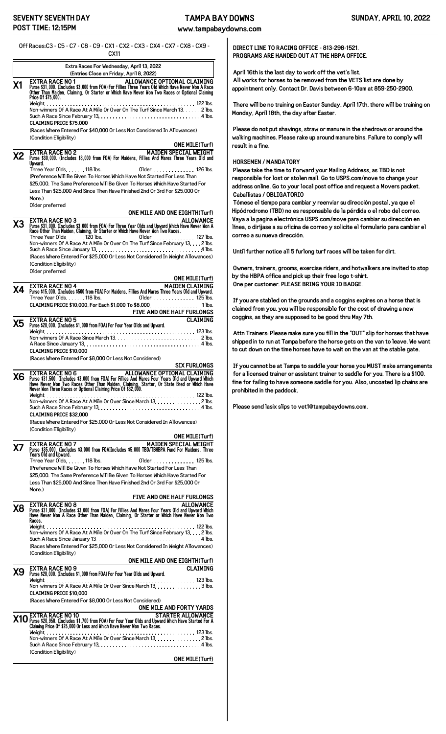**www.tampabaydowns.com**

Off Races:C3 - C5 - C7 - C8 - C9 - CX1 - CX2 - CX3 - CX4 - CX7 - CX8 - CX9 -

CX11 **Extra Races For Wednesday, April 13, 2022 (Entries Close on Friday, April 8, 2022) X1 EXTRA RACE NO 1 ALLOWANCE OPTIONAL CLAIMING 


 ! " # \$# ! % & '  ( ) \*& & ! " # \$# ! + % ,& ( )** Price 0f \$75,000. Weight 122 lbs. Non-winners Of A Race At A Mile Or Over On The Turf Since March 13  $\,\ldots\,$  2 lbs. Such A Race Since February 13.  $\ldots$ .  $\ldots$ .  $\ldots$ .  $\ldots$ .  $\ldots$ .  $\ldots$ .  $\ldots$ .  $\ldots$ . 4 lbs. **CLAIMING PRICE \$75,000** (Races Where Entered For \$40,000 Or Less Not Considered In Allowances) (Condition Eligibility) **ONE MILE(Turf) X2** EXTRA RACE NO 2 **MAIDEN SPECIAL WEIGHT**<br>Diright of the Mail of Maidens, Fillies And Mares Three Years Old and<br>Upward. Three Year Olds 118 lbs. Older 126 lbs. (Preference Will Be Given To Horses Which Have Not Started For Less Than \$25,000. The Same Preference Will Be Given To Horses Which Have Started For Less Than \$25,000 And Since Then Have Finished 2nd Or 3rd For \$25,000 Or More.) Older preferred **ONE MILE AND ONE EIGHTH(Turf) X3 EXTRA RACE NO 3 ALLOWANCE 


 /,+ ! " # \$# ! % & '  ( ) \*& & ! " # \$# ! + %**  Three Year Olds 120 lbs. Older 127 lbs. Non-winners Of A Race At A Mile Or Over On The Turf Since February 13. . . . 2 lbs. Such A Race Since January 13 4 lbs. (Races Where Entered For \$25,000 Or Less Not Considered In Weight Allowances) (Condition Eligibility) Older preferred **ONE MILE(Turf) X4** EXTRA RACE NO 4<br>Purse \$15,000. (Includes \$500 from FOA) For Maidens, Fillies And Mares Three Years Old and Upward. Three Year Olds. . . . . . . 118 lbs. Older. . . . . . . . . . . . . . . 125 lbs. **CLAIMING PRICE \$10,000, For Each \$1,000 To \$8,000** 1 lbs. **FIVE AND ONE HALF FURLONGS**  ${\bf X5}$  **EXTRA RACE NO 5** (1,000 from FOA) For Four Year Olds and Upward. CLAIMING  $\bf X5$  Purse \$20,000. (Includes \$1,000 from FOA) For Four Year Olds and Upward. Weight 123 lbs. Non-winners Of A Race Since March 13 2 lbs. A Race Since January 13 4 lbs. **CLAIMING PRICE \$10,000** (Races Where Entered For \$8,000 Or Less Not Considered) **SIX FURLONGS** X6 Purse \$31,500. (Includes \$3,000 from FOA) For Filles And Mares Four Years Old and Upward Which<br>Have Never Mon Tive Races Other Than Maiden, Claiming. Starter, Or State Bred or Which Have<br>Never Won Three Races or Optiona Weight 122 lbs. Non-winners Of A Race At A Mile Or Over Since March 13. . . . . . . . . . . . . . . 2 lbs. Such A Race Since February 13.  $\ldots$ .  $\ldots$ .  $\ldots$ .  $\ldots$ .  $\ldots$ .  $\ldots$ .  $\ldots$ .  $\ldots$ . 4 lbs. **CLAIMING PRICE \$32,000** (Races Where Entered For \$25,000 Or Less Not Considered In Allowances) (Condition Eligibility) **ONE MILE(Turf)** MAIDEN SPECIAL WEIGHT (INCLUSION SPECIAL WEIGHT)<br>Purse \$35,000. (Includes \$3,000 from FOA)Includes \$5,000 TBD/TBHBPA Fund For Maidens, Three<br>Years Old and Upward. Three Year Olds. . . . . . . 118 lbs. 01der . . . . . . . . . . . . . . . . . . 125 lbs. (Preference Will Be Given To Horses Which Have Not Started For Less Than \$25,000. The Same Preference Will Be Given To Horses Which Have Started For Less Than \$25,000 And Since Then Have Finished 2nd Or 3rd For \$25,000 Or More.) **FIVE AND ONE HALF FURLONGS X8 EXTRA RACE NO 8 ALLOWANCE 


 ' /,+ ! " # \$# ! % & '  ( ) \*& & ! " # \$# ! + %**  Weight 122 lbs. Non-winners Of A Race At A Mile Or Over On The Turf Since February 13. . . . 2 lbs. Such A Race Since January 13 4 lbs. (Races Where Entered For \$25,000 Or Less Not Considered In Weight Allowances) (Condition Eligibility) **ONE MILE AND ONE EIGHTH(Turf)**  $\chi$ 9 **EXTRA RACE NO 9** (Includes \$1,000 from FOA) For Four Year Olds and Upward. **CLAIMING** Weight 123 lbs. Non-winners Of A Race At A Mile Or Over Since March 13.  $\dots\dots\dots\dots\dots$  3 lbs. **CLAIMING PRICE \$10,000** (Races Where Entered For \$8,000 Or Less Not Considered) **ONE MILE AND FORTY YARDS** STARTER ALLOWANCE NO 10<br>Magness \$20,950. (Includes \$1,700 from FOA) For Four Year Olds and Upward Which Have Started For A<br>Claiming Price Of \$25,000 Or Less and Which Have Never Won Two Races. Weight 123 lbs. Non-winners Of A Race At A Mile Or Over Since March 13.  $\ldots\ldots\ldots\ldots\ldots$  2 lbs. Such A Race Since February 13 4 lbs. (Condition Eligibility) **ONE MILE(Turf)**

**DIRECT LINE TO RACING OFFICE - 813-298-1521. PROGRAMS ARE HANDED OUT AT THE HBPA OFFICE.**

**April 16th is the last day to work off the vet's list. All works for horses to be removed from the VETS list are done by appointment only. Contact Dr. Davis between 6-10am at 859-250-2900.**

**There will be no training on Easter Sunday, April 17th, there will be training on Monday, April 18th, the day after Easter.**

**Please do not put shavings, straw or manure in the shedrows or around the walking machines. Please rake up around manure bins. Failure to comply will result in a fine.**

## **HORSEMEN / MANDATORY**

**Please take the time to Forward your Mailing Address, as TBD is not responsible for lost or stolen mail. Go to USPS.com/move to change your address online. Go to your local post office and request a Movers packet. Caballistas / OBLIGATORIO**

**Tómese el tiempo para cambiar y reenviar su dirección postal, ya que el Hipódrodromo (TBD) no es responsable de la pérdida o el robo del correo. Vaya a la pagina electrónica USPS.com/move para cambiar su dirección en línea, o diríjase a su oficina de correo y solicite el formulario para cambiar el correo a su nueva dirección.**

**Until further notice all 5 furlong turf races will be taken for dirt.**

**Owners, trainers, grooms, exercise riders, and hotwalkers are invited to stop by the HBPA office and pick up their free logo t-shirt. One per customer. PLEASE BRING YOUR ID BADGE.**

**If you are stabled on the grounds and a coggins expires on a horse that is claimed from you, you will be responsible for the cost of drawing a new coggins, as they are supposed to be good thru May 7th.**

**Attn Trainers: Please make sure you fill in the "OUT" slip for horses that have shipped in to run at Tampa before the horse gets on the van to leave. We want to cut down on the time horses have to wait on the van at the stable gate.**

**If you cannot be at Tampa to saddle your horse you MUST make arrangements for a licensed trainer or assistant trainer to saddle for you. There is a \$100. fine for failing to have someone saddle for you. Also, uncoated lip chains are prohibited in the paddock.**

**Please send lasix slips to vet1@tampabaydowns.com.**